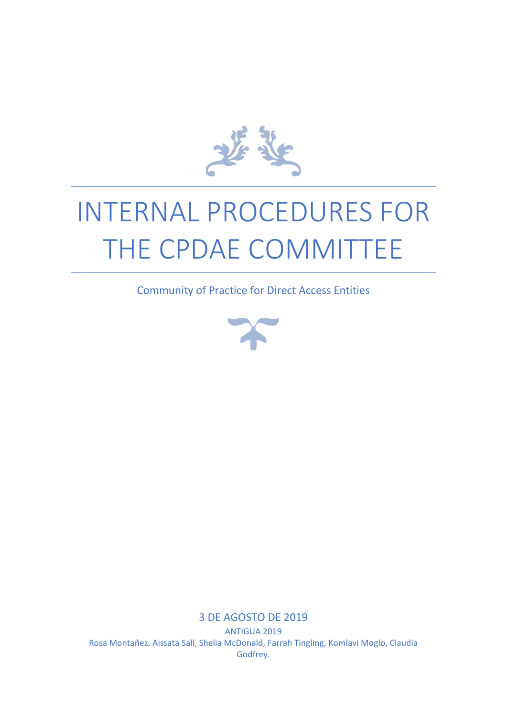

# INTERNAL PROCEDURES FOR THE CPDAE COMMITTEE

Community of Practice for Direct Access Entities



3 DE AGOSTO DE 2019 ANTIGUA 2019 Rosa Montañez, Aissata Sall, Shelia McDonald, Farrah Tingling, Komlavi Moglo, Claudia Godfrey.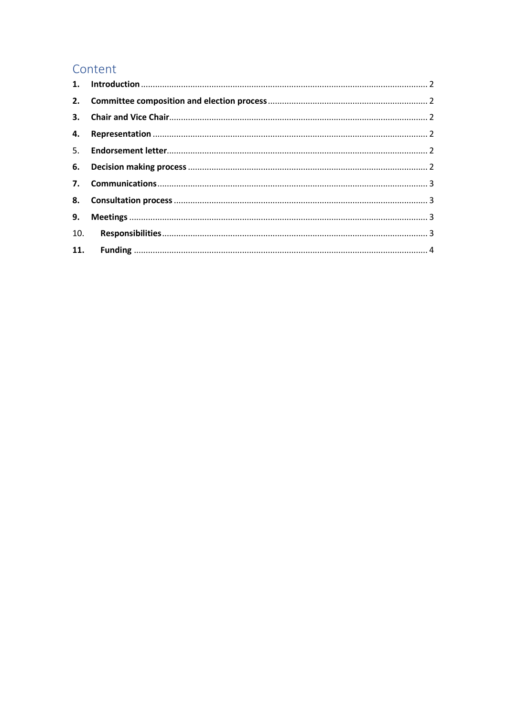## Content

| 10. |  |
|-----|--|
|     |  |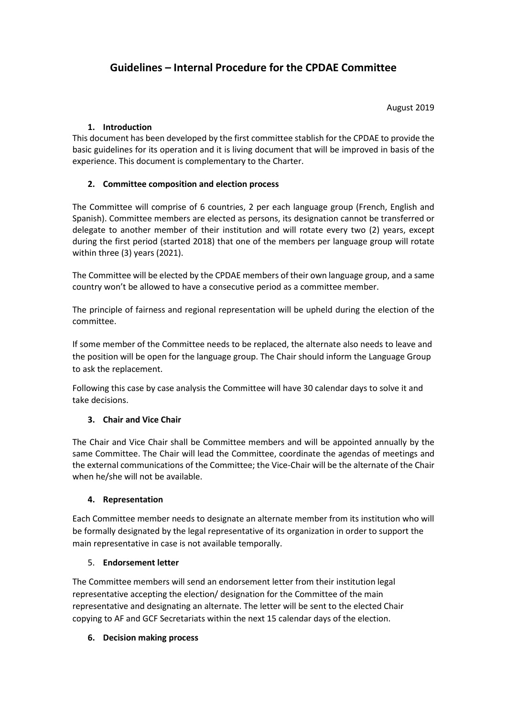### **Guidelines – Internal Procedure for the CPDAE Committee**

August 2019

#### **1. Introduction**

<span id="page-2-0"></span>This document has been developed by the first committee stablish for the CPDAE to provide the basic guidelines for its operation and it is living document that will be improved in basis of the experience. This document is complementary to the Charter.

#### <span id="page-2-1"></span>**2. Committee composition and election process**

The Committee will comprise of 6 countries, 2 per each language group (French, English and Spanish). Committee members are elected as persons, its designation cannot be transferred or delegate to another member of their institution and will rotate every two (2) years, except during the first period (started 2018) that one of the members per language group will rotate within three (3) years (2021).

The Committee will be elected by the CPDAE members of their own language group, and a same country won't be allowed to have a consecutive period as a committee member.

The principle of fairness and regional representation will be upheld during the election of the committee.

If some member of the Committee needs to be replaced, the alternate also needs to leave and the position will be open for the language group. The Chair should inform the Language Group to ask the replacement.

Following this case by case analysis the Committee will have 30 calendar days to solve it and take decisions.

#### <span id="page-2-2"></span>**3. Chair and Vice Chair**

The Chair and Vice Chair shall be Committee members and will be appointed annually by the same Committee. The Chair will lead the Committee, coordinate the agendas of meetings and the external communications of the Committee; the Vice-Chair will be the alternate of the Chair when he/she will not be available.

#### <span id="page-2-3"></span>**4. Representation**

Each Committee member needs to designate an alternate member from its institution who will be formally designated by the legal representative of its organization in order to support the main representative in case is not available temporally.

#### <span id="page-2-4"></span>5. **Endorsement letter**

The Committee members will send an endorsement letter from their institution legal representative accepting the election/ designation for the Committee of the main representative and designating an alternate. The letter will be sent to the elected Chair copying to AF and GCF Secretariats within the next 15 calendar days of the election.

#### <span id="page-2-5"></span>**6. Decision making process**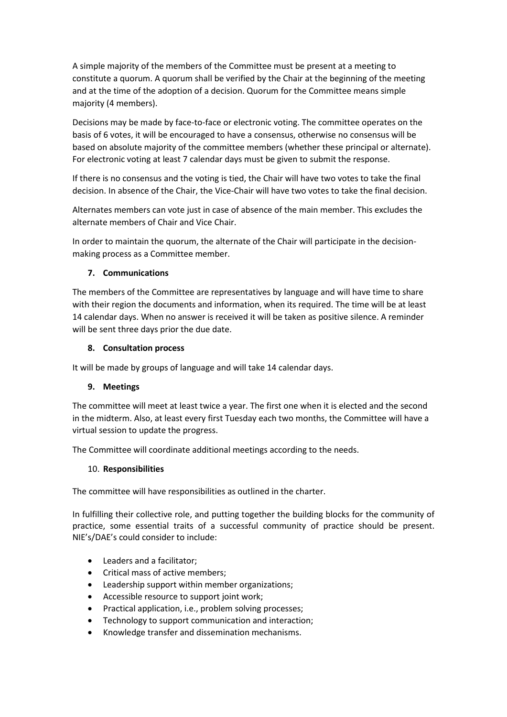A simple majority of the members of the Committee must be present at a meeting to constitute a quorum. A quorum shall be verified by the Chair at the beginning of the meeting and at the time of the adoption of a decision. Quorum for the Committee means simple majority (4 members).

Decisions may be made by face-to-face or electronic voting. The committee operates on the basis of 6 votes, it will be encouraged to have a consensus, otherwise no consensus will be based on absolute majority of the committee members (whether these principal or alternate). For electronic voting at least 7 calendar days must be given to submit the response.

If there is no consensus and the voting is tied, the Chair will have two votes to take the final decision. In absence of the Chair, the Vice-Chair will have two votes to take the final decision.

Alternates members can vote just in case of absence of the main member. This excludes the alternate members of Chair and Vice Chair.

In order to maintain the quorum, the alternate of the Chair will participate in the decisionmaking process as a Committee member.

#### <span id="page-3-0"></span>**7. Communications**

The members of the Committee are representatives by language and will have time to share with their region the documents and information, when its required. The time will be at least 14 calendar days. When no answer is received it will be taken as positive silence. A reminder will be sent three days prior the due date.

#### <span id="page-3-1"></span>**8. Consultation process**

It will be made by groups of language and will take 14 calendar days.

#### <span id="page-3-2"></span>**9. Meetings**

The committee will meet at least twice a year. The first one when it is elected and the second in the midterm. Also, at least every first Tuesday each two months, the Committee will have a virtual session to update the progress.

The Committee will coordinate additional meetings according to the needs.

#### <span id="page-3-3"></span>10. **Responsibilities**

The committee will have responsibilities as outlined in the charter.

In fulfilling their collective role, and putting together the building blocks for the community of practice, some essential traits of a successful community of practice should be present. NIE's/DAE's could consider to include:

- Leaders and a facilitator;
- Critical mass of active members;
- Leadership support within member organizations;
- Accessible resource to support joint work;
- Practical application, i.e., problem solving processes;
- Technology to support communication and interaction;
- Knowledge transfer and dissemination mechanisms.